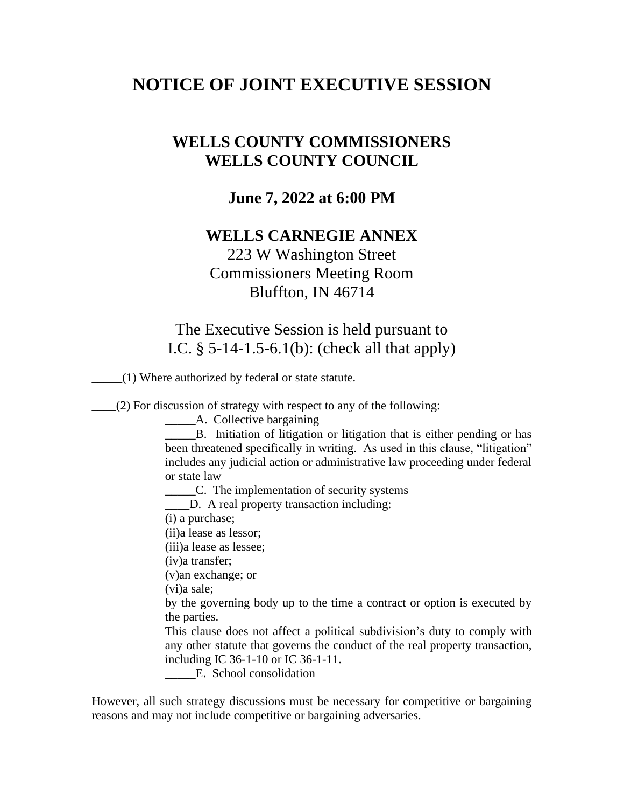## **NOTICE OF JOINT EXECUTIVE SESSION**

## **WELLS COUNTY COMMISSIONERS WELLS COUNTY COUNCIL**

## **June 7, 2022 at 6:00 PM**

## **WELLS CARNEGIE ANNEX**

223 W Washington Street Commissioners Meeting Room Bluffton, IN 46714

The Executive Session is held pursuant to I.C. § 5-14-1.5-6.1(b): (check all that apply)

\_\_\_\_\_(1) Where authorized by federal or state statute.

\_\_\_\_(2) For discussion of strategy with respect to any of the following:

\_\_\_\_\_A. Collective bargaining

B. Initiation of litigation or litigation that is either pending or has been threatened specifically in writing. As used in this clause, "litigation" includes any judicial action or administrative law proceeding under federal or state law

\_\_\_\_\_C. The implementation of security systems

\_\_\_\_D. A real property transaction including:

(i) a purchase;

(ii)a lease as lessor;

(iii)a lease as lessee;

(iv)a transfer;

(v)an exchange; or

(vi)a sale;

by the governing body up to the time a contract or option is executed by the parties.

This clause does not affect a political subdivision's duty to comply with any other statute that governs the conduct of the real property transaction, including IC 36-1-10 or IC 36-1-11.

E. School consolidation

However, all such strategy discussions must be necessary for competitive or bargaining reasons and may not include competitive or bargaining adversaries.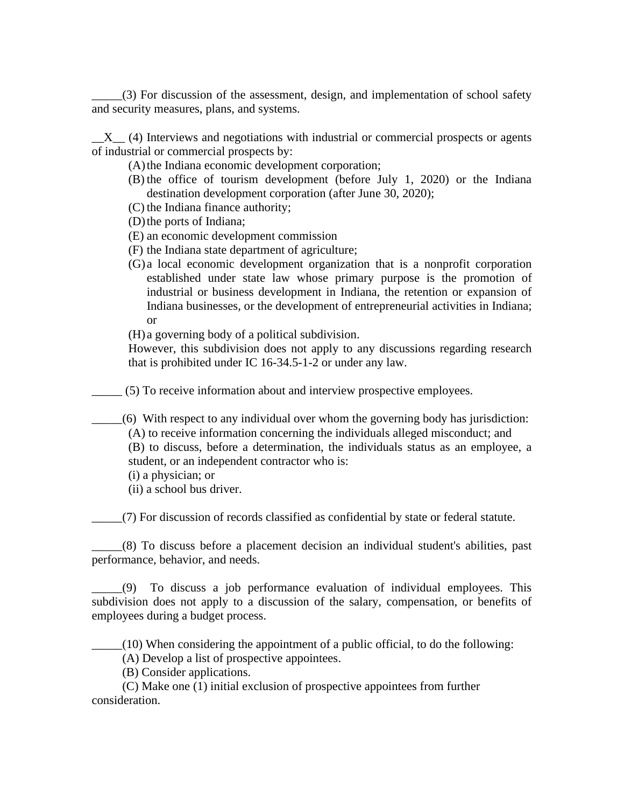\_\_\_\_\_(3) For discussion of the assessment, design, and implementation of school safety and security measures, plans, and systems.

 $X_{-}$  (4) Interviews and negotiations with industrial or commercial prospects or agents of industrial or commercial prospects by:

(A) the Indiana economic development corporation;

- (B) the office of tourism development (before July 1, 2020) or the Indiana destination development corporation (after June 30, 2020);
- (C) the Indiana finance authority;
- (D)the ports of Indiana;
- (E) an economic development commission
- (F) the Indiana state department of agriculture;
- (G) a local economic development organization that is a nonprofit corporation established under state law whose primary purpose is the promotion of industrial or business development in Indiana, the retention or expansion of Indiana businesses, or the development of entrepreneurial activities in Indiana; or

(H) a governing body of a political subdivision.

However, this subdivision does not apply to any discussions regarding research that is prohibited under IC 16-34.5-1-2 or under any law.

\_\_\_\_\_ (5) To receive information about and interview prospective employees.

\_\_\_\_\_(6) With respect to any individual over whom the governing body has jurisdiction: (A) to receive information concerning the individuals alleged misconduct; and (B) to discuss, before a determination, the individuals status as an employee, a student, or an independent contractor who is:

- (i) a physician; or
- (ii) a school bus driver.

\_\_\_\_\_(7) For discussion of records classified as confidential by state or federal statute.

\_\_\_\_\_(8) To discuss before a placement decision an individual student's abilities, past performance, behavior, and needs.

\_\_\_\_\_(9) To discuss a job performance evaluation of individual employees. This subdivision does not apply to a discussion of the salary, compensation, or benefits of employees during a budget process.

 $(10)$  When considering the appointment of a public official, to do the following:

(A) Develop a list of prospective appointees.

(B) Consider applications.

 (C) Make one (1) initial exclusion of prospective appointees from further consideration.